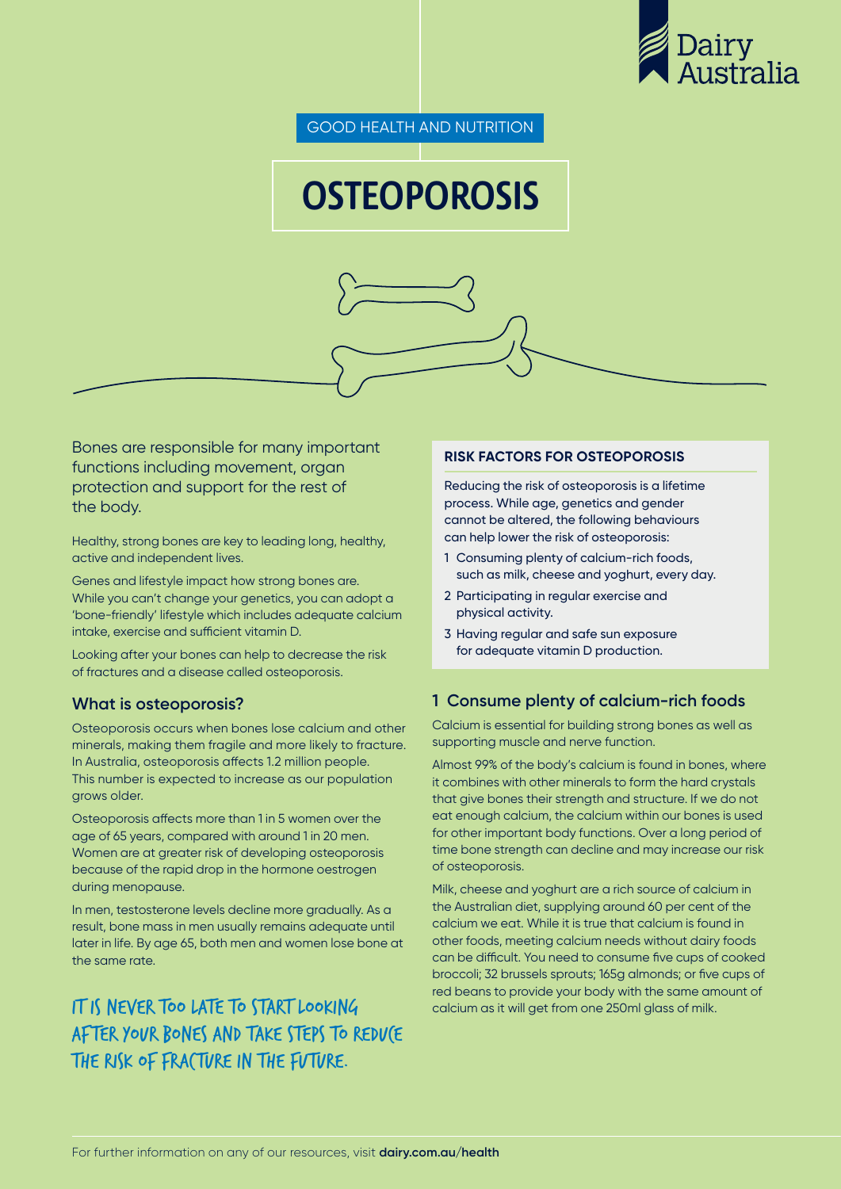

GOOD HEALTH AND NUTRITION

# **OSTEOPOROSIS**

Bones are responsible for many important functions including movement, organ protection and support for the rest of the body.

Healthy, strong bones are key to leading long, healthy, active and independent lives.

Genes and lifestyle impact how strong bones are. While you can't change your genetics, you can adopt a 'bone-friendly' lifestyle which includes adequate calcium intake, exercise and sufficient vitamin D.

Looking after your bones can help to decrease the risk of fractures and a disease called osteoporosis.

## **What is osteoporosis?**

Osteoporosis occurs when bones lose calcium and other minerals, making them fragile and more likely to fracture. In Australia, osteoporosis affects 1.2 million people. This number is expected to increase as our population grows older.

Osteoporosis affects more than 1 in 5 women over the age of 65 years, compared with around 1 in 20 men. Women are at greater risk of developing osteoporosis because of the rapid drop in the hormone oestrogen during menopause.

In men, testosterone levels decline more gradually. As a result, bone mass in men usually remains adequate until later in life. By age 65, both men and women lose bone at the same rate.

# IT IS NEVER TOO LATE TO START LOOKING after your bones and take steps to reduce the risk of fracture in the future.

#### **RISK FACTORS FOR OSTEOPOROSIS**

Reducing the risk of osteoporosis is a lifetime process. While age, genetics and gender cannot be altered, the following behaviours can help lower the risk of osteoporosis:

- 1 Consuming plenty of calcium-rich foods, such as milk, cheese and yoghurt, every day.
- 2 Participating in regular exercise and physical activity.
- 3 Having regular and safe sun exposure for adequate vitamin D production.

#### **1 Consume plenty of calcium-rich foods**

Calcium is essential for building strong bones as well as supporting muscle and nerve function.

Almost 99% of the body's calcium is found in bones, where it combines with other minerals to form the hard crystals that give bones their strength and structure. If we do not eat enough calcium, the calcium within our bones is used for other important body functions. Over a long period of time bone strength can decline and may increase our risk of osteoporosis.

Milk, cheese and yoghurt are a rich source of calcium in the Australian diet, supplying around 60 per cent of the calcium we eat. While it is true that calcium is found in other foods, meeting calcium needs without dairy foods can be difficult. You need to consume five cups of cooked broccoli; 32 brussels sprouts; 165g almonds; or five cups of red beans to provide your body with the same amount of calcium as it will get from one 250ml glass of milk.